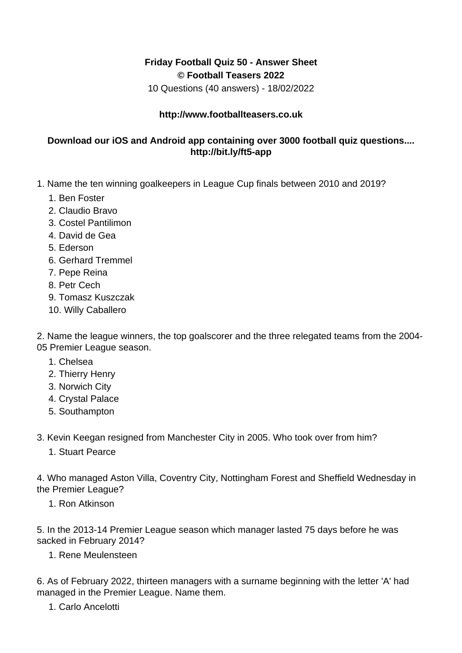## **Friday Football Quiz 50 - Answer Sheet © Football Teasers 2022**

10 Questions (40 answers) - 18/02/2022

## **http://www.footballteasers.co.uk**

## **Download our iOS and Android app containing over 3000 football quiz questions.... http://bit.ly/ft5-app**

- 1. Name the ten winning goalkeepers in League Cup finals between 2010 and 2019?
	- 1. Ben Foster
	- 2. Claudio Bravo
	- 3. Costel Pantilimon
	- 4. David de Gea
	- 5. Ederson
	- 6. Gerhard Tremmel
	- 7. Pepe Reina
	- 8. Petr Cech
	- 9. Tomasz Kuszczak
	- 10. Willy Caballero

2. Name the league winners, the top goalscorer and the three relegated teams from the 2004- 05 Premier League season.

- 1. Chelsea
- 2. Thierry Henry
- 3. Norwich City
- 4. Crystal Palace
- 5. Southampton
- 3. Kevin Keegan resigned from Manchester City in 2005. Who took over from him?
	- 1. Stuart Pearce

4. Who managed Aston Villa, Coventry City, Nottingham Forest and Sheffield Wednesday in the Premier League?

1. Ron Atkinson

5. In the 2013-14 Premier League season which manager lasted 75 days before he was sacked in February 2014?

1. Rene Meulensteen

6. As of February 2022, thirteen managers with a surname beginning with the letter 'A' had managed in the Premier League. Name them.

1. Carlo Ancelotti